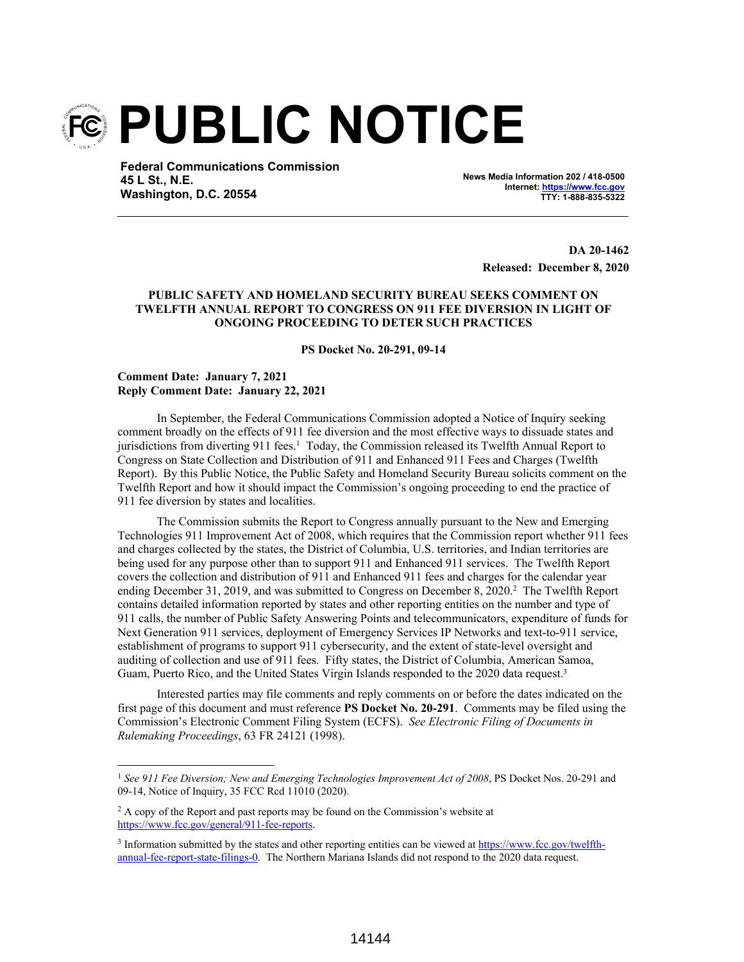

**Federal Communications Commission 45 L St., N.E. Washington, D.C. 20554**

**News Media Information 202 / 418-0500 Internet: https://www.fcc.gov TTY: 1-888-835-5322**

> **DA 20-1462 Released: December 8, 2020**

## **PUBLIC SAFETY AND HOMELAND SECURITY BUREAU SEEKS COMMENT ON TWELFTH ANNUAL REPORT TO CONGRESS ON 911 FEE DIVERSION IN LIGHT OF ONGOING PROCEEDING TO DETER SUCH PRACTICES**

**PS Docket No. 20-291, 09-14**

## **Comment Date: January 7, 2021 Reply Comment Date: January 22, 2021**

In September, the Federal Communications Commission adopted a Notice of Inquiry seeking comment broadly on the effects of 911 fee diversion and the most effective ways to dissuade states and jurisdictions from diverting 911 fees.<sup>1</sup> Today, the Commission released its Twelfth Annual Report to Congress on State Collection and Distribution of 911 and Enhanced 911 Fees and Charges (Twelfth Report). By this Public Notice, the Public Safety and Homeland Security Bureau solicits comment on the Twelfth Report and how it should impact the Commission's ongoing proceeding to end the practice of 911 fee diversion by states and localities.

The Commission submits the Report to Congress annually pursuant to the New and Emerging Technologies 911 Improvement Act of 2008, which requires that the Commission report whether 911 fees and charges collected by the states, the District of Columbia, U.S. territories, and Indian territories are being used for any purpose other than to support 911 and Enhanced 911 services. The Twelfth Report covers the collection and distribution of 911 and Enhanced 911 fees and charges for the calendar year ending December 31, 2019, and was submitted to Congress on December 8, 2020.<sup>2</sup> The Twelfth Report contains detailed information reported by states and other reporting entities on the number and type of 911 calls, the number of Public Safety Answering Points and telecommunicators, expenditure of funds for Next Generation 911 services, deployment of Emergency Services IP Networks and text-to-911 service, establishment of programs to support 911 cybersecurity, and the extent of state-level oversight and auditing of collection and use of 911 fees. Fifty states, the District of Columbia, American Samoa, Guam, Puerto Rico, and the United States Virgin Islands responded to the 2020 data request.<sup>3</sup>

Interested parties may file comments and reply comments on or before the dates indicated on the first page of this document and must reference **PS Docket No. 20-291**. Comments may be filed using the Commission's Electronic Comment Filing System (ECFS). *See Electronic Filing of Documents in Rulemaking Proceedings*, 63 FR 24121 (1998).

<sup>1</sup> *See 911 Fee Diversion; New and Emerging Technologies Improvement Act of 2008*, PS Docket Nos. 20-291 and 09-14, Notice of Inquiry, 35 FCC Rcd 11010 (2020).

<sup>&</sup>lt;sup>2</sup> A copy of the Report and past reports may be found on the Commission's website at https://www.fcc.gov/general/911-fee-reports.

<sup>&</sup>lt;sup>3</sup> Information submitted by the states and other reporting entities can be viewed at https://www.fcc.gov/twelfthannual-fee-report-state-filings-0. The Northern Mariana Islands did not respond to the 2020 data request.